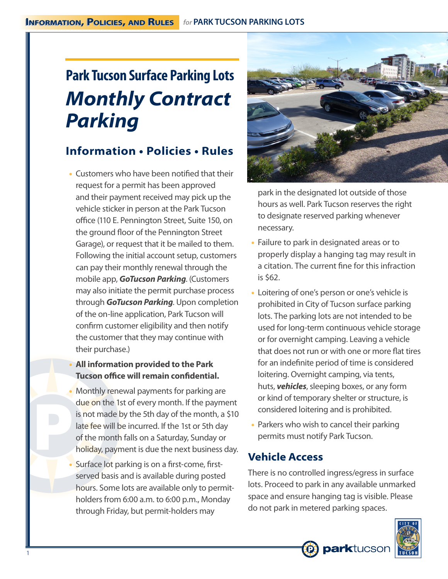# **Park Tucson Surface Parking Lots** *Monthly Contract Parking*

# **Information • Policies • Rules**

- Customers who have been notified that their request for a permit has been approved and their payment received may pick up the vehicle sticker in person at the Park Tucson office (110 E. Pennington Street, Suite 150, on the ground floor of the Pennington Street Garage), or request that it be mailed to them. Following the initial account setup, customers can pay their monthly renewal through the mobile app, *GoTucson Parking*. (Customers may also initiate the permit purchase process through *GoTucson Parking*. Upon completion of the on-line application, Park Tucson will confirm customer eligibility and then notify the customer that they may continue with their purchase.)
- **All information provided to the Park Tucson office will remain confidential.**
- Monthly renewal payments for parking are due on the 1st of every month. If the payment is not made by the 5th day of the month, a \$10 late fee will be incurred. If the 1st or 5th day of the month falls on a Saturday, Sunday or holiday, payment is due the next business day.
- Surface lot parking is on a first-come, firstserved basis and is available during posted hours. Some lots are available only to permitholders from 6:00 a.m. to 6:00 p.m., Monday through Friday, but permit-holders may



park in the designated lot outside of those hours as well. Park Tucson reserves the right to designate reserved parking whenever necessary.

- Failure to park in designated areas or to properly display a hanging tag may result in a citation. The current fine for this infraction is \$62.
- Loitering of one's person or one's vehicle is prohibited in City of Tucson surface parking lots. The parking lots are not intended to be used for long-term continuous vehicle storage or for overnight camping. Leaving a vehicle that does not run or with one or more flat tires for an indefinite period of time is considered loitering. Overnight camping, via tents, huts, *vehicles*, sleeping boxes, or any form or kind of temporary shelter or structure, is considered loitering and is prohibited.
- Parkers who wish to cancel their parking permits must notify Park Tucson.

#### **Vehicle Access**

There is no controlled ingress/egress in surface lots. Proceed to park in any available unmarked space and ensure hanging tag is visible. Please do not park in metered parking spaces.